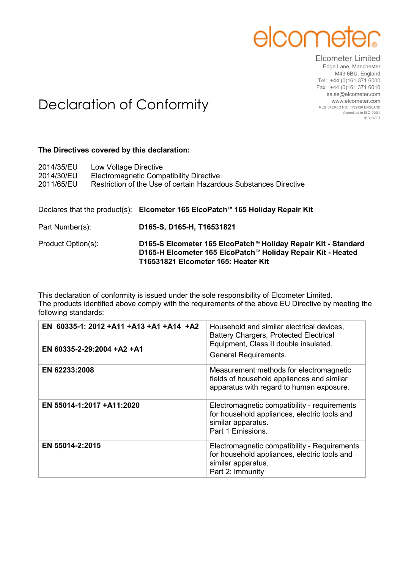## elcome

## Elcometer Limited Edge Lane, Manchester

M43 6BU. England Tel: +44 (0)161 371 6000 Fax: +44 (0)161 371 6010 sales@elcometer.com www.elcometer.com REGISTERED NO. 1729726 ENGLAND Accredited to ISO 9001 ISO 14001

## Declaration of Conformity

## **The Directives covered by this declaration:**

| 2014/35/EU<br>2014/30/EU<br>2011/65/EU | Low Voltage Directive | <b>Electromagnetic Compatibility Directive</b><br>Restriction of the Use of certain Hazardous Substances Directive |
|----------------------------------------|-----------------------|--------------------------------------------------------------------------------------------------------------------|
|                                        |                       | Declares that the product(s): Elcometer 165 ElcoPatch <sup><math>m</math></sup> 165 Holiday Repair Kit             |
| Part Number(s):                        |                       | D165-S, D165-H, T16531821                                                                                          |
| Product Option(s):                     |                       | D165-S Elcometer 165 ElcoPatch™ Holiday Repair Kit - Standard                                                      |

This declaration of conformity is issued under the sole responsibility of Elcometer Limited. The products identified above comply with the requirements of the above EU Directive by meeting the following standards:

**T16531821 Elcometer 165: Heater Kit**

**D165-H Elcometer 165 ElcoPatch**™ **Holiday Repair Kit - Heated**

| EN 60335-1: 2012 +A11 +A13 +A1 +A14 +A2<br>EN 60335-2-29:2004 +A2 +A1 | Household and similar electrical devices,<br><b>Battery Chargers, Protected Electrical</b><br>Equipment, Class II double insulated.<br><b>General Requirements.</b> |
|-----------------------------------------------------------------------|---------------------------------------------------------------------------------------------------------------------------------------------------------------------|
| EN 62233:2008                                                         | Measurement methods for electromagnetic<br>fields of household appliances and similar<br>apparatus with regard to human exposure.                                   |
| EN 55014-1:2017 +A11:2020                                             | Electromagnetic compatibility - requirements<br>for household appliances, electric tools and<br>similar apparatus.<br>Part 1 Emissions.                             |
| EN 55014-2:2015                                                       | Electromagnetic compatibility - Requirements<br>for household appliances, electric tools and<br>similar apparatus.<br>Part 2: Immunity                              |